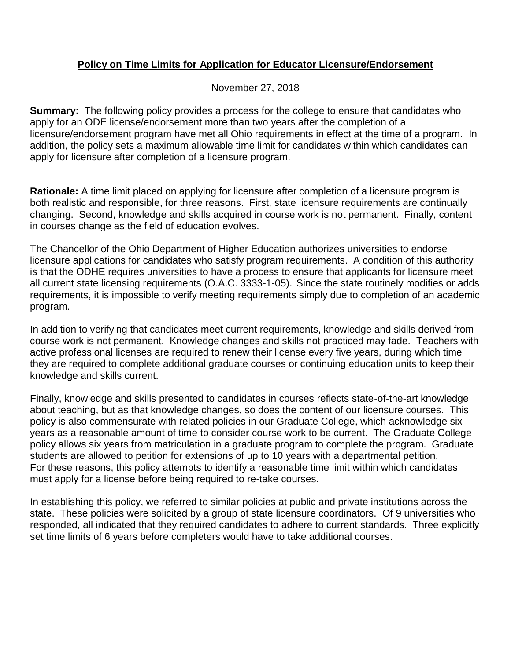## **Policy on Time Limits for Application for Educator Licensure/Endorsement**

November 27, 2018

**Summary:** The following policy provides a process for the college to ensure that candidates who apply for an ODE license/endorsement more than two years after the completion of a licensure/endorsement program have met all Ohio requirements in effect at the time of a program. In addition, the policy sets a maximum allowable time limit for candidates within which candidates can apply for licensure after completion of a licensure program.

**Rationale:** A time limit placed on applying for licensure after completion of a licensure program is both realistic and responsible, for three reasons. First, state licensure requirements are continually changing. Second, knowledge and skills acquired in course work is not permanent. Finally, content in courses change as the field of education evolves.

The Chancellor of the Ohio Department of Higher Education authorizes universities to endorse licensure applications for candidates who satisfy program requirements. A condition of this authority is that the ODHE requires universities to have a process to ensure that applicants for licensure meet all current state licensing requirements (O.A.C. 3333-1-05). Since the state routinely modifies or adds requirements, it is impossible to verify meeting requirements simply due to completion of an academic program.

In addition to verifying that candidates meet current requirements, knowledge and skills derived from course work is not permanent. Knowledge changes and skills not practiced may fade. Teachers with active professional licenses are required to renew their license every five years, during which time they are required to complete additional graduate courses or continuing education units to keep their knowledge and skills current.

Finally, knowledge and skills presented to candidates in courses reflects state-of-the-art knowledge about teaching, but as that knowledge changes, so does the content of our licensure courses. This policy is also commensurate with related policies in our Graduate College, which acknowledge six years as a reasonable amount of time to consider course work to be current. The Graduate College policy allows six years from matriculation in a graduate program to complete the program. Graduate students are allowed to petition for extensions of up to 10 years with a departmental petition. For these reasons, this policy attempts to identify a reasonable time limit within which candidates must apply for a license before being required to re-take courses.

In establishing this policy, we referred to similar policies at public and private institutions across the state. These policies were solicited by a group of state licensure coordinators. Of 9 universities who responded, all indicated that they required candidates to adhere to current standards. Three explicitly set time limits of 6 years before completers would have to take additional courses.